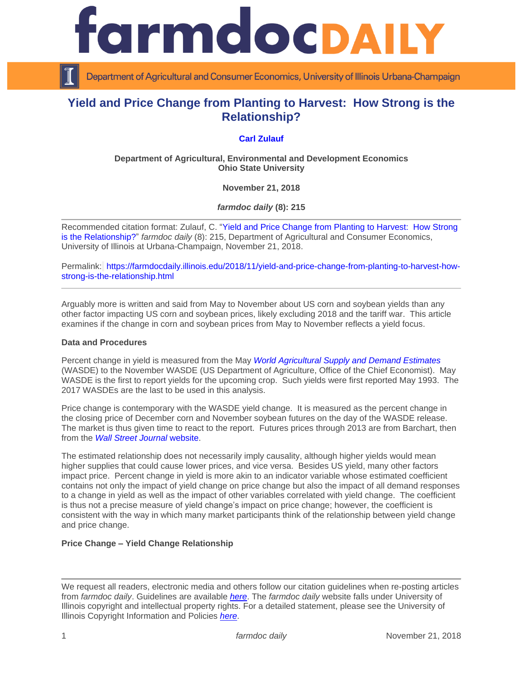

Department of Agricultural and Consumer Economics, University of Illinois Urbana-Champaign

# **Yield and Price Change from Planting to Harvest: How Strong is the Relationship?**

## **[Carl Zulauf](http://aede.osu.edu/our-people/carl-zulauf)**

### **Department of Agricultural, Environmental and Development Economics Ohio State University**

**November 21, 2018**

*farmdoc daily* **(8): 215**

Recommended citation format: Zulauf, C. ["Yield and Price Change from Planting to Harvest: How Strong](https://farmdocdaily.illinois.edu/2018/11/yield-and-price-change-from-planting-to-harvest-how-strong-is-the-relationship.html)  [is the Relationship?"](https://farmdocdaily.illinois.edu/2018/11/yield-and-price-change-from-planting-to-harvest-how-strong-is-the-relationship.html) *farmdoc daily* (8): 215, Department of Agricultural and Consumer Economics, University of Illinois at Urbana-Champaign, November 21, 2018.

Permalink: [https://farmdocdaily.illinois.edu/2018/11/yield-and-price-change-from-planting-to-harvest-how](https://farmdocdaily.illinois.edu/2018/11/yield-and-price-change-from-planting-to-harvest-how-strong-is-the-relationship.html)[strong-is-the-relationship.html](https://farmdocdaily.illinois.edu/2018/11/yield-and-price-change-from-planting-to-harvest-how-strong-is-the-relationship.html)

Arguably more is written and said from May to November about US corn and soybean yields than any other factor impacting US corn and soybean prices, likely excluding 2018 and the tariff war. This article examines if the change in corn and soybean prices from May to November reflects a yield focus.

#### **Data and Procedures**

Percent change in yield is measured from the May *[World Agricultural Supply and Demand Estimates](https://www.usda.gov/oce/commodity/wasde/)* (WASDE) to the November WASDE (US Department of Agriculture, Office of the Chief Economist). May WASDE is the first to report yields for the upcoming crop. Such yields were first reported May 1993. The 2017 WASDEs are the last to be used in this analysis.

Price change is contemporary with the WASDE yield change. It is measured as the percent change in the closing price of December corn and November soybean futures on the day of the WASDE release. The market is thus given time to react to the report. Futures prices through 2013 are from Barchart, then from the *[Wall Street Journal](http://www.wsj.com/mdc/public/page/2_3023-fut_agricultural-futures.html)* website.

The estimated relationship does not necessarily imply causality, although higher yields would mean higher supplies that could cause lower prices, and vice versa. Besides US yield, many other factors impact price. Percent change in yield is more akin to an indicator variable whose estimated coefficient contains not only the impact of yield change on price change but also the impact of all demand responses to a change in yield as well as the impact of other variables correlated with yield change. The coefficient is thus not a precise measure of yield change's impact on price change; however, the coefficient is consistent with the way in which many market participants think of the relationship between yield change and price change.

#### **Price Change – Yield Change Relationship**

We request all readers, electronic media and others follow our citation guidelines when re-posting articles from *farmdoc daily*. Guidelines are available *[here](http://farmdocdaily.illinois.edu/citationguide.html)*. The *farmdoc daily* website falls under University of Illinois copyright and intellectual property rights. For a detailed statement, please see the University of Illinois Copyright Information and Policies *[here](http://www.cio.illinois.edu/policies/copyright/)*.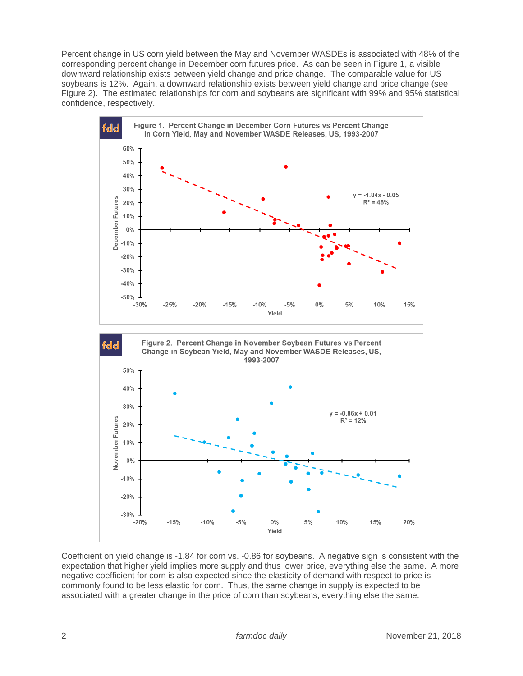Percent change in US corn yield between the May and November WASDEs is associated with 48% of the corresponding percent change in December corn futures price. As can be seen in Figure 1, a visible downward relationship exists between yield change and price change. The comparable value for US soybeans is 12%. Again, a downward relationship exists between yield change and price change (see Figure 2). The estimated relationships for corn and soybeans are significant with 99% and 95% statistical confidence, respectively.



Coefficient on yield change is -1.84 for corn vs. -0.86 for soybeans. A negative sign is consistent with the expectation that higher yield implies more supply and thus lower price, everything else the same. A more negative coefficient for corn is also expected since the elasticity of demand with respect to price is commonly found to be less elastic for corn. Thus, the same change in supply is expected to be associated with a greater change in the price of corn than soybeans, everything else the same.